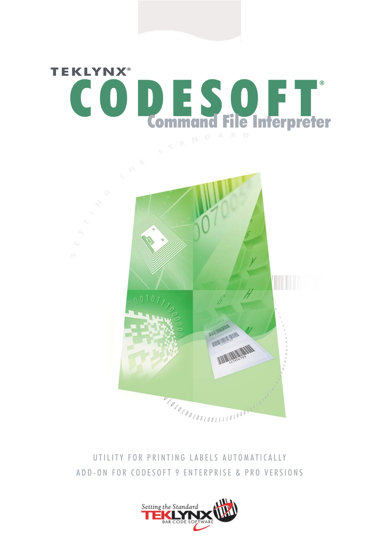

## UTILITY FOR PRINTING LABELS AUTOMATICALLY ADD-ON FOR CODESOFT 9 ENTERPRISE & PRO VERSIONS